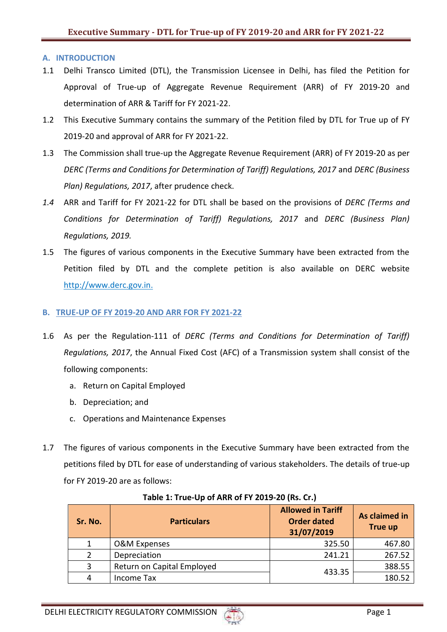### **A. INTRODUCTION**

- 1.1 Delhi Transco Limited (DTL), the Transmission Licensee in Delhi, has filed the Petition for Approval of True-up of Aggregate Revenue Requirement (ARR) of FY 2019-20 and determination of ARR & Tariff for FY 2021-22.
- 1.2 This Executive Summary contains the summary of the Petition filed by DTL for True up of FY 2019-20 and approval of ARR for FY 2021-22.
- 1.3 The Commission shall true-up the Aggregate Revenue Requirement (ARR) of FY 2019-20 as per *DERC (Terms and Conditions for Determination of Tariff) Regulations, 2017* and *DERC (Business Plan) Regulations, 2017*, after prudence check.
- *1.4* ARR and Tariff for FY 2021-22 for DTL shall be based on the provisions of *DERC (Terms and Conditions for Determination of Tariff) Regulations, 2017* and *DERC (Business Plan) Regulations, 2019.*
- 1.5 The figures of various components in the Executive Summary have been extracted from the Petition filed by DTL and the complete petition is also available on DERC website [http://www.derc.gov.in.](http://www.derc.gov.in/)

### **B. TRUE-UP OF FY 2019-20 AND ARR FOR FY 2021-22**

- 1.6 As per the Regulation-111 of *DERC (Terms and Conditions for Determination of Tariff) Regulations, 2017*, the Annual Fixed Cost (AFC) of a Transmission system shall consist of the following components:
	- a. Return on Capital Employed
	- b. Depreciation; and
	- c. Operations and Maintenance Expenses
- 1.7 The figures of various components in the Executive Summary have been extracted from the petitions filed by DTL for ease of understanding of various stakeholders. The details of true-up for FY 2019-20 are as follows:

| Sr. No.       | <b>Particulars</b>         | <b>Allowed in Tariff</b><br><b>Order dated</b><br>31/07/2019 | As claimed in<br><b>True up</b> |
|---------------|----------------------------|--------------------------------------------------------------|---------------------------------|
|               | O&M Expenses               | 325.50                                                       | 467.80                          |
| $\mathcal{P}$ | Depreciation               | 241.21                                                       | 267.52                          |
| 3             | Return on Capital Employed | 433.35                                                       | 388.55                          |
| 4             | Income Tax                 |                                                              | 180.52                          |

# **Table 1: True-Up of ARR of FY 2019-20 (Rs. Cr.)**